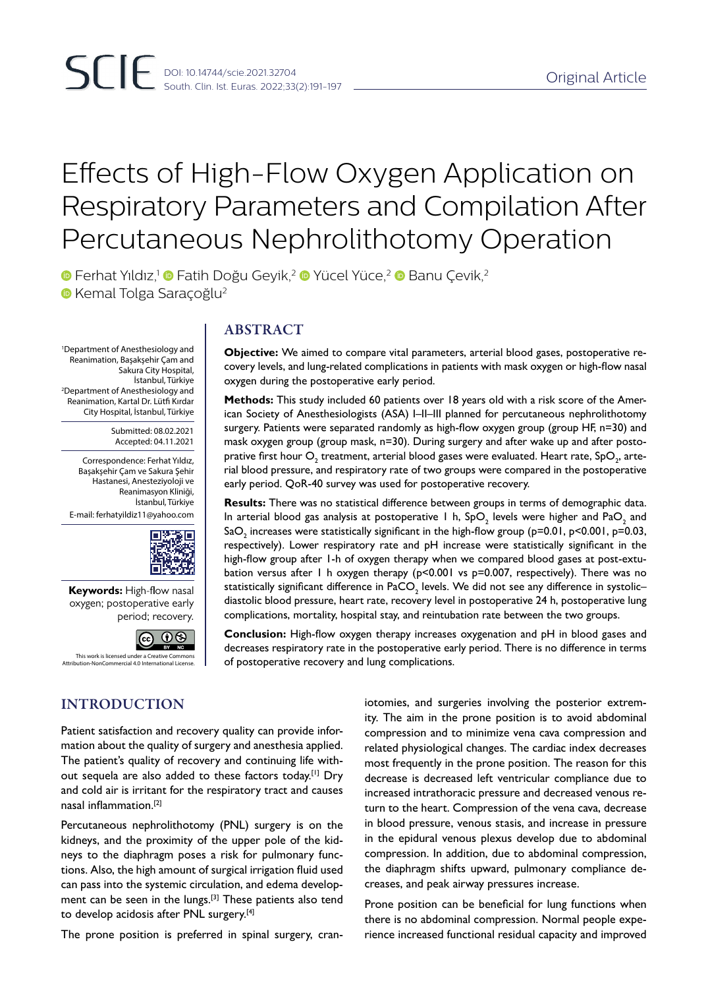# Effects of High-Flow Oxygen Application on Respiratory Parameters and Compilation After Percutaneous Nephrolithotomy Operation

**•** Ferhat Yıldız,<sup>1</sup> Fatih Doğu Geyik,<sup>2</sup> • Yücel Yüce,<sup>2</sup> • Banu Çevik,<sup>2</sup> **• Kemal Tolga Saraçoğlu<sup>2</sup>** 

1 Department of Anesthesiology and Reanimation, Başakşehir Çam and Sakura City Hospital, İstanbul, Türkiye 2 Department of Anesthesiology and Reanimation, Kartal Dr. Lütfi Kırdar City Hospital, İstanbul, Türkiye

> Submitted: 08.02.2021 Accepted: 04.11.2021

Correspondence: Ferhat Yıldız, Başakşehir Çam ve Sakura Şehir Hastanesi, Anesteziyoloji ve Reanimasyon Kliniği, İstanbul, Türkiye E-mail: ferhatyildiz11@yahoo.com



**Keywords:** High-flow nasal oxygen; postoperative early period; recovery.



Attribution-NonCommercial 4.0 International Lice

# ABSTRACT

**Objective:** We aimed to compare vital parameters, arterial blood gases, postoperative recovery levels, and lung-related complications in patients with mask oxygen or high-flow nasal oxygen during the postoperative early period.

**Methods:** This study included 60 patients over 18 years old with a risk score of the American Society of Anesthesiologists (ASA) I–II–III planned for percutaneous nephrolithotomy surgery. Patients were separated randomly as high-flow oxygen group (group HF, n=30) and mask oxygen group (group mask, n=30). During surgery and after wake up and after postoprative first hour  $\mathsf{O}_\textsf{2}$  treatment, arterial blood gases were evaluated. Heart rate, Sp $\mathsf{O}_\textsf{2}$ , arterial blood pressure, and respiratory rate of two groups were compared in the postoperative early period. QoR-40 survey was used for postoperative recovery.

**Results:** There was no statistical difference between groups in terms of demographic data. In arterial blood gas analysis at postoperative 1 h, SpO<sub>2</sub> levels were higher and PaO<sub>2</sub> and SaO $_{\rm 2}$  increases were statistically significant in the high-flow group (p=0.01, p<0.001, p=0.03, respectively). Lower respiratory rate and pH increase were statistically significant in the high-flow group after 1-h of oxygen therapy when we compared blood gases at post-extubation versus after 1 h oxygen therapy ( $p<0.001$  vs  $p=0.007$ , respectively). There was no statistically significant difference in PaCO $_{_2}$  levels. We did not see any difference in systolic– diastolic blood pressure, heart rate, recovery level in postoperative 24 h, postoperative lung complications, mortality, hospital stay, and reintubation rate between the two groups.

**Conclusion:** High-flow oxygen therapy increases oxygenation and pH in blood gases and decreases respiratory rate in the postoperative early period. There is no difference in terms of postoperative recovery and lung complications.

# INTRODUCTION

Patient satisfaction and recovery quality can provide information about the quality of surgery and anesthesia applied. The patient's quality of recovery and continuing life without sequela are also added to these factors today.<sup>[1]</sup> Dry and cold air is irritant for the respiratory tract and causes nasal inflammation.[2]

Percutaneous nephrolithotomy (PNL) surgery is on the kidneys, and the proximity of the upper pole of the kidneys to the diaphragm poses a risk for pulmonary functions. Also, the high amount of surgical irrigation fluid used can pass into the systemic circulation, and edema development can be seen in the lungs.<sup>[3]</sup> These patients also tend to develop acidosis after PNL surgery.<sup>[4]</sup>

The prone position is preferred in spinal surgery, cran-

iotomies, and surgeries involving the posterior extremity. The aim in the prone position is to avoid abdominal compression and to minimize vena cava compression and related physiological changes. The cardiac index decreases most frequently in the prone position. The reason for this decrease is decreased left ventricular compliance due to increased intrathoracic pressure and decreased venous return to the heart. Compression of the vena cava, decrease in blood pressure, venous stasis, and increase in pressure in the epidural venous plexus develop due to abdominal compression. In addition, due to abdominal compression, the diaphragm shifts upward, pulmonary compliance decreases, and peak airway pressures increase.

Prone position can be beneficial for lung functions when there is no abdominal compression. Normal people experience increased functional residual capacity and improved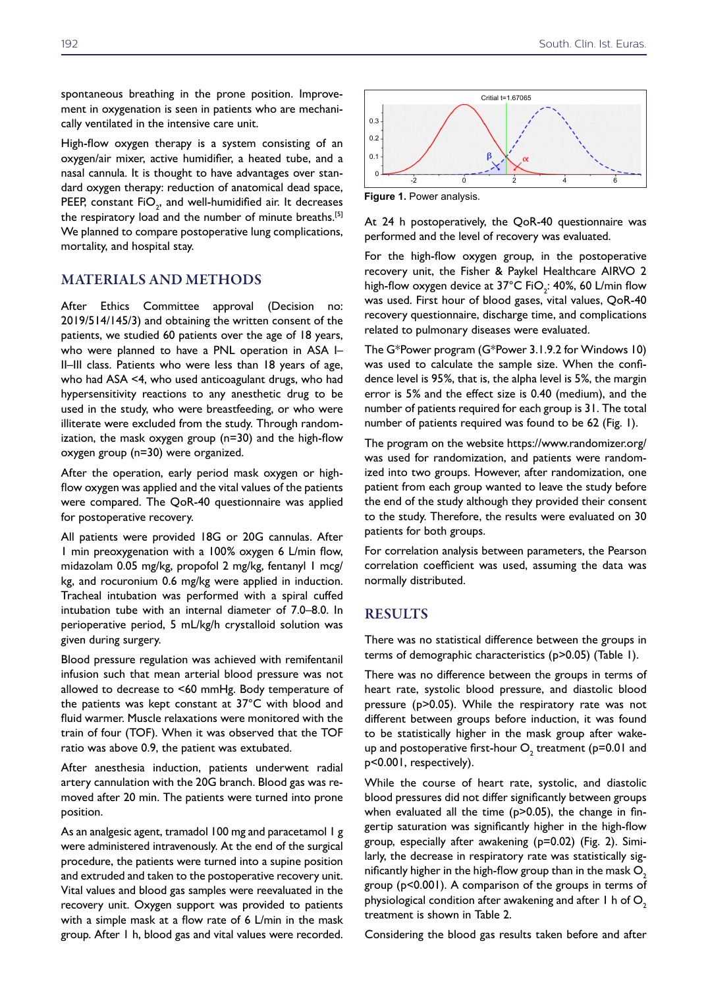spontaneous breathing in the prone position. Improvement in oxygenation is seen in patients who are mechanically ventilated in the intensive care unit.

High-flow oxygen therapy is a system consisting of an oxygen/air mixer, active humidifier, a heated tube, and a nasal cannula. It is thought to have advantages over standard oxygen therapy: reduction of anatomical dead space, PEEP, constant  $\mathsf{FiO}_2^{}$ , and well-humidified air. It decreases the respiratory load and the number of minute breaths.<sup>[5]</sup> We planned to compare postoperative lung complications, mortality, and hospital stay.

### MATERIALS AND METHODS

After Ethics Committee approval (Decision no: 2019/514/145/3) and obtaining the written consent of the patients, we studied 60 patients over the age of 18 years, who were planned to have a PNL operation in ASA I-II–III class. Patients who were less than 18 years of age, who had ASA <4, who used anticoagulant drugs, who had hypersensitivity reactions to any anesthetic drug to be used in the study, who were breastfeeding, or who were illiterate were excluded from the study. Through randomization, the mask oxygen group (n=30) and the high-flow oxygen group (n=30) were organized.

After the operation, early period mask oxygen or highflow oxygen was applied and the vital values of the patients were compared. The QoR-40 questionnaire was applied for postoperative recovery.

All patients were provided 18G or 20G cannulas. After 1 min preoxygenation with a 100% oxygen 6 L/min flow, midazolam 0.05 mg/kg, propofol 2 mg/kg, fentanyl 1 mcg/ kg, and rocuronium 0.6 mg/kg were applied in induction. Tracheal intubation was performed with a spiral cuffed intubation tube with an internal diameter of 7.0–8.0. In perioperative period, 5 mL/kg/h crystalloid solution was given during surgery.

Blood pressure regulation was achieved with remifentanil infusion such that mean arterial blood pressure was not allowed to decrease to <60 mmHg. Body temperature of the patients was kept constant at 37°C with blood and fluid warmer. Muscle relaxations were monitored with the train of four (TOF). When it was observed that the TOF ratio was above 0.9, the patient was extubated.

After anesthesia induction, patients underwent radial artery cannulation with the 20G branch. Blood gas was removed after 20 min. The patients were turned into prone position.

As an analgesic agent, tramadol 100 mg and paracetamol 1 g were administered intravenously. At the end of the surgical procedure, the patients were turned into a supine position and extruded and taken to the postoperative recovery unit. Vital values and blood gas samples were reevaluated in the recovery unit. Oxygen support was provided to patients with a simple mask at a flow rate of 6 L/min in the mask group. After 1 h, blood gas and vital values were recorded.



**Figure 1.** Power analysis.

At 24 h postoperatively, the QoR-40 questionnaire was performed and the level of recovery was evaluated.

For the high-flow oxygen group, in the postoperative recovery unit, the Fisher & Paykel Healthcare AIRVO 2 high-flow oxygen device at 37°C FiO<sub>2</sub>: 40%, 60 L/min flow was used. First hour of blood gases, vital values, QoR-40 recovery questionnaire, discharge time, and complications related to pulmonary diseases were evaluated.

The G\*Power program (G\*Power 3.1.9.2 for Windows 10) was used to calculate the sample size. When the confidence level is 95%, that is, the alpha level is 5%, the margin error is 5% and the effect size is 0.40 (medium), and the number of patients required for each group is 31. The total number of patients required was found to be 62 (Fig. 1).

The program on the website https://www.randomizer.org/ was used for randomization, and patients were randomized into two groups. However, after randomization, one patient from each group wanted to leave the study before the end of the study although they provided their consent to the study. Therefore, the results were evaluated on 30 patients for both groups.

For correlation analysis between parameters, the Pearson correlation coefficient was used, assuming the data was normally distributed.

# **RESULTS**

There was no statistical difference between the groups in terms of demographic characteristics (p>0.05) (Table 1).

There was no difference between the groups in terms of heart rate, systolic blood pressure, and diastolic blood pressure (p>0.05). While the respiratory rate was not different between groups before induction, it was found to be statistically higher in the mask group after wakeup and postoperative first-hour  $O_2$  treatment (p=0.01 and p<0.001, respectively).

While the course of heart rate, systolic, and diastolic blood pressures did not differ significantly between groups when evaluated all the time (p>0.05), the change in fingertip saturation was significantly higher in the high-flow group, especially after awakening (p=0.02) (Fig. 2). Similarly, the decrease in respiratory rate was statistically significantly higher in the high-flow group than in the mask  $O<sub>2</sub>$ group (p<0.001). A comparison of the groups in terms of physiological condition after awakening and after 1 h of  $O<sub>2</sub>$ treatment is shown in Table 2.

Considering the blood gas results taken before and after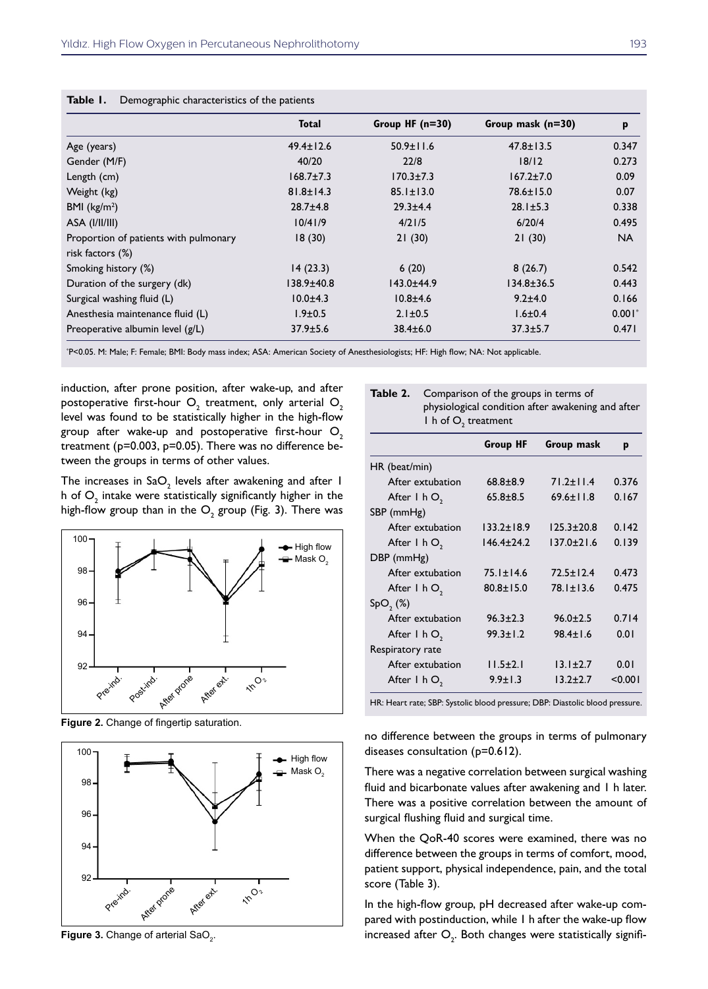|                                       | <b>Total</b>    | Group HF $(n=30)$ | Group mask (n=30) | p         |
|---------------------------------------|-----------------|-------------------|-------------------|-----------|
| Age (years)                           | $49.4 \pm 12.6$ | $50.9 \pm 11.6$   | $47.8 \pm 13.5$   | 0.347     |
| Gender (M/F)                          | 40/20           | 22/8              | 18/12             | 0.273     |
| Length (cm)                           | $168.7 \pm 7.3$ | $170.3 \pm 7.3$   | $167.2 \pm 7.0$   | 0.09      |
| Weight (kg)                           | $81.8 \pm 14.3$ | $85.1 \pm 13.0$   | $78.6 \pm 15.0$   | 0.07      |
| BMI $(kg/m2)$                         | $28.7 \pm 4.8$  | $29.3 \pm 4.4$    | $28.1 \pm 5.3$    | 0.338     |
| ASA (I/II/III)                        | 10/41/9         | 4/21/5            | 6/20/4            | 0.495     |
| Proportion of patients with pulmonary | 18(30)          | 21(30)            | 21(30)            | <b>NA</b> |
| risk factors (%)                      |                 |                   |                   |           |
| Smoking history (%)                   | 14(23.3)        | 6(20)             | 8(26.7)           | 0.542     |
| Duration of the surgery (dk)          | 138.9±40.8      | 143.0±44.9        | $134.8 \pm 36.5$  | 0.443     |
| Surgical washing fluid (L)            | $10.0 + 4.3$    | $10.8 + 4.6$      | $9.2 \pm 4.0$     | 0.166     |
| Anesthesia maintenance fluid (L)      | $1.9 \pm 0.5$   | $2.1 \pm 0.5$     | $1.6 \pm 0.4$     | $0.001*$  |
| Preoperative albumin level (g/L)      | $37.9 \pm 5.6$  | $38.4 \pm 6.0$    | $37.3 \pm 5.7$    | 0.471     |

\* P<0.05. M: Male; F: Female; BMI: Body mass index; ASA: American Society of Anesthesiologists; HF: High flow; NA: Not applicable.

induction, after prone position, after wake-up, and after postoperative first-hour  $\mathsf{O}_\mathfrak{z}$  treatment, only arterial  $\mathsf{O}_\mathfrak{z}$ level was found to be statistically higher in the high-flow group after wake-up and postoperative first-hour  $O<sub>2</sub>$ treatment (p=0.003, p=0.05). There was no difference between the groups in terms of other values.

The increases in Sa $\mathrm{O}_2$  levels after awakening and after 1 h of  $\overline{\mathrm{O}}_{_{2}}$  intake were statistically significantly higher in the high-flow group than in the  $\mathsf{O}_2$  group (Fig. 3). There was



**Figure 2.** Change of fingertip saturation.



**Figure 3.** Change of arterial SaO<sub>2</sub>.

| Table 2. Comparison of the groups in terms of<br>physiological condition after awakening and after |
|----------------------------------------------------------------------------------------------------|
| $\mathsf{I}$ h of $\mathsf{O}_{\mathsf{I}}$ treatment                                              |

|                   | <b>Group HF</b>  | Group mask       | p       |
|-------------------|------------------|------------------|---------|
| HR (beat/min)     |                  |                  |         |
| After extubation  | $68.8 + 8.9$     | $71.2 \pm 11.4$  | 0.376   |
| After $I$ h $O$ , | $65.8 + 8.5$     | $69.6 \pm 11.8$  | 0.167   |
| SBP (mmHg)        |                  |                  |         |
| After extubation  | $133.2 \pm 18.9$ | $125.3 \pm 20.8$ | 0.142   |
| After $I$ h $O$ , | $146.4 \pm 24.2$ | $137.0 \pm 21.6$ | 0.139   |
| $DBP$ (mmHg)      |                  |                  |         |
| After extubation  | $75.1 \pm 14.6$  | $72.5 + 12.4$    | 0.473   |
| After $I$ h $O$ , | $80.8 \pm 15.0$  | $78.1 \pm 13.6$  | 0.475   |
| $SpO,$ $(\%)$     |                  |                  |         |
| After extubation  | $96.3 \pm 2.3$   | $96.0 \pm 2.5$   | 0.714   |
| After $l$ h $O$ , | $99.3 \pm 1.2$   | $98.4 + 1.6$     | 0.01    |
| Respiratory rate  |                  |                  |         |
| After extubation  | $11.5 \pm 2.1$   | $13.1 \pm 2.7$   | 0.01    |
| After $I$ h $O_2$ | $9.9 \pm 1.3$    | $13.2 + 2.7$     | < 0.001 |

HR: Heart rate; SBP: Systolic blood pressure; DBP: Diastolic blood pressure.

no difference between the groups in terms of pulmonary diseases consultation (p=0.612).

There was a negative correlation between surgical washing fluid and bicarbonate values after awakening and 1 h later. There was a positive correlation between the amount of surgical flushing fluid and surgical time.

When the QoR-40 scores were examined, there was no difference between the groups in terms of comfort, mood, patient support, physical independence, pain, and the total score (Table 3).

In the high-flow group, pH decreased after wake-up compared with postinduction, while 1 h after the wake-up flow increased after  $O_2$ . Both changes were statistically signifi-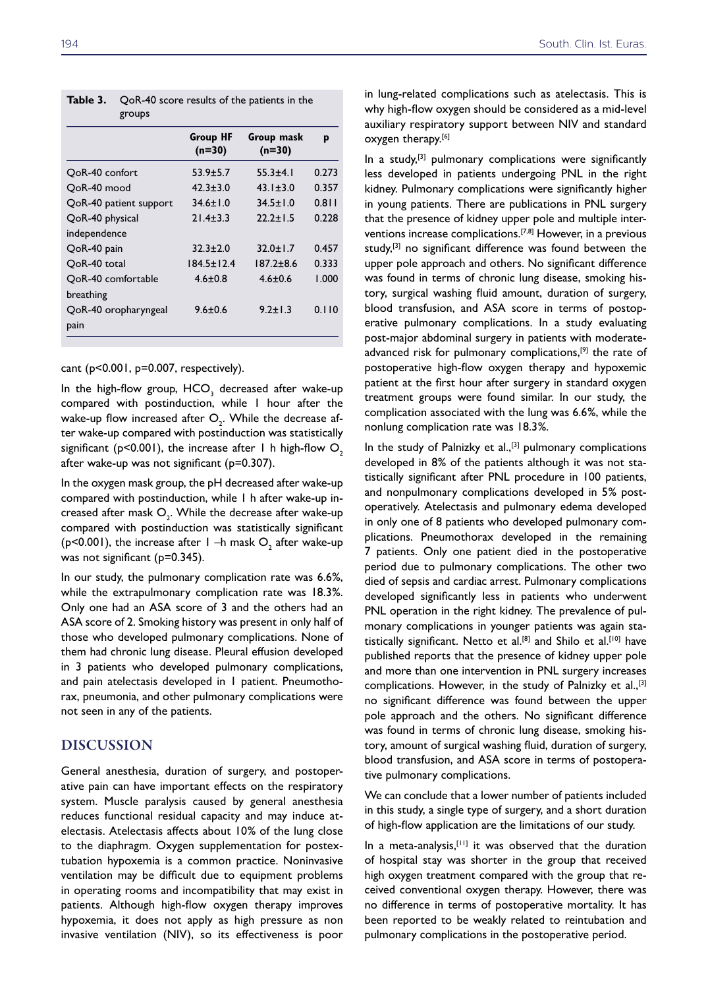| <b>Group HF</b><br>$(n=30)$ | Group mask<br>$(n=30)$ | p     |
|-----------------------------|------------------------|-------|
| $53.9 \pm 5.7$              | $55.3 + 4.1$           | 0.273 |
| $42.3 \pm 3.0$              | $43.1 \pm 3.0$         | 0.357 |
| $34.6 \pm 1.0$              | $34.5 \pm 1.0$         | 0.811 |
| $21.4 + 3.3$                | $22.2 + 1.5$           | 0.228 |
|                             |                        |       |
| $32.3 + 2.0$                | $32.0 + 1.7$           | 0.457 |
| $184.5 \pm 12.4$            | $187.2 + 8.6$          | 0.333 |
| $4.6 \pm 0.8$               | $4.6 + 0.6$            | 1.000 |
|                             |                        |       |
| $9.6 \pm 0.6$               | $9.2 \pm 1.3$          | 0.110 |
|                             |                        |       |
|                             |                        |       |

| Table 3. QoR-40 score results of the patients in the |
|------------------------------------------------------|
| $\sigma$ <sup><math>\sigma</math></sup>              |

cant  $(p<0.001, p=0.007,$  respectively).

In the high-flow group,  $\mathsf{HCO}_3^3$  decreased after wake-up compared with postinduction, while 1 hour after the wake-up flow increased after  $\mathsf{O}_2^{}$ . While the decrease after wake-up compared with postinduction was statistically significant ( $p$ <0.001), the increase after 1 h high-flow  $O<sub>2</sub>$ after wake-up was not significant (p=0.307).

In the oxygen mask group, the pH decreased after wake-up compared with postinduction, while 1 h after wake-up increased after mask  $\mathsf{O}_\text{\bf{2}}.$  While the decrease after wake-up compared with postinduction was statistically significant (p<0.001), the increase after  $1 - h$  mask  $O_2$  after wake-up was not significant (p=0.345).

In our study, the pulmonary complication rate was 6.6%, while the extrapulmonary complication rate was 18.3%. Only one had an ASA score of 3 and the others had an ASA score of 2. Smoking history was present in only half of those who developed pulmonary complications. None of them had chronic lung disease. Pleural effusion developed in 3 patients who developed pulmonary complications, and pain atelectasis developed in 1 patient. Pneumothorax, pneumonia, and other pulmonary complications were not seen in any of the patients.

# DISCUSSION

General anesthesia, duration of surgery, and postoperative pain can have important effects on the respiratory system. Muscle paralysis caused by general anesthesia reduces functional residual capacity and may induce atelectasis. Atelectasis affects about 10% of the lung close to the diaphragm. Oxygen supplementation for postextubation hypoxemia is a common practice. Noninvasive ventilation may be difficult due to equipment problems in operating rooms and incompatibility that may exist in patients. Although high-flow oxygen therapy improves hypoxemia, it does not apply as high pressure as non invasive ventilation (NIV), so its effectiveness is poor

in lung-related complications such as atelectasis. This is why high-flow oxygen should be considered as a mid-level auxiliary respiratory support between NIV and standard oxygen therapy.<sup>[6]</sup>

In a study, $[3]$  pulmonary complications were significantly less developed in patients undergoing PNL in the right kidney. Pulmonary complications were significantly higher in young patients. There are publications in PNL surgery that the presence of kidney upper pole and multiple interventions increase complications.[7,8] However, in a previous study,<sup>[3]</sup> no significant difference was found between the upper pole approach and others. No significant difference was found in terms of chronic lung disease, smoking history, surgical washing fluid amount, duration of surgery, blood transfusion, and ASA score in terms of postoperative pulmonary complications. In a study evaluating post-major abdominal surgery in patients with moderateadvanced risk for pulmonary complications,<sup>[9]</sup> the rate of postoperative high-flow oxygen therapy and hypoxemic patient at the first hour after surgery in standard oxygen treatment groups were found similar. In our study, the complication associated with the lung was 6.6%, while the nonlung complication rate was 18.3%.

In the study of Palnizky et al.,<sup>[3]</sup> pulmonary complications developed in 8% of the patients although it was not statistically significant after PNL procedure in 100 patients, and nonpulmonary complications developed in 5% postoperatively. Atelectasis and pulmonary edema developed in only one of 8 patients who developed pulmonary complications. Pneumothorax developed in the remaining 7 patients. Only one patient died in the postoperative period due to pulmonary complications. The other two died of sepsis and cardiac arrest. Pulmonary complications developed significantly less in patients who underwent PNL operation in the right kidney. The prevalence of pulmonary complications in younger patients was again statistically significant. Netto et al.<sup>[8]</sup> and Shilo et al.<sup>[10]</sup> have published reports that the presence of kidney upper pole and more than one intervention in PNL surgery increases complications. However, in the study of Palnizky et al.,  $[3]$ no significant difference was found between the upper pole approach and the others. No significant difference was found in terms of chronic lung disease, smoking history, amount of surgical washing fluid, duration of surgery, blood transfusion, and ASA score in terms of postoperative pulmonary complications.

We can conclude that a lower number of patients included in this study, a single type of surgery, and a short duration of high-flow application are the limitations of our study.

In a meta-analysis, $[11]$  it was observed that the duration of hospital stay was shorter in the group that received high oxygen treatment compared with the group that received conventional oxygen therapy. However, there was no difference in terms of postoperative mortality. It has been reported to be weakly related to reintubation and pulmonary complications in the postoperative period.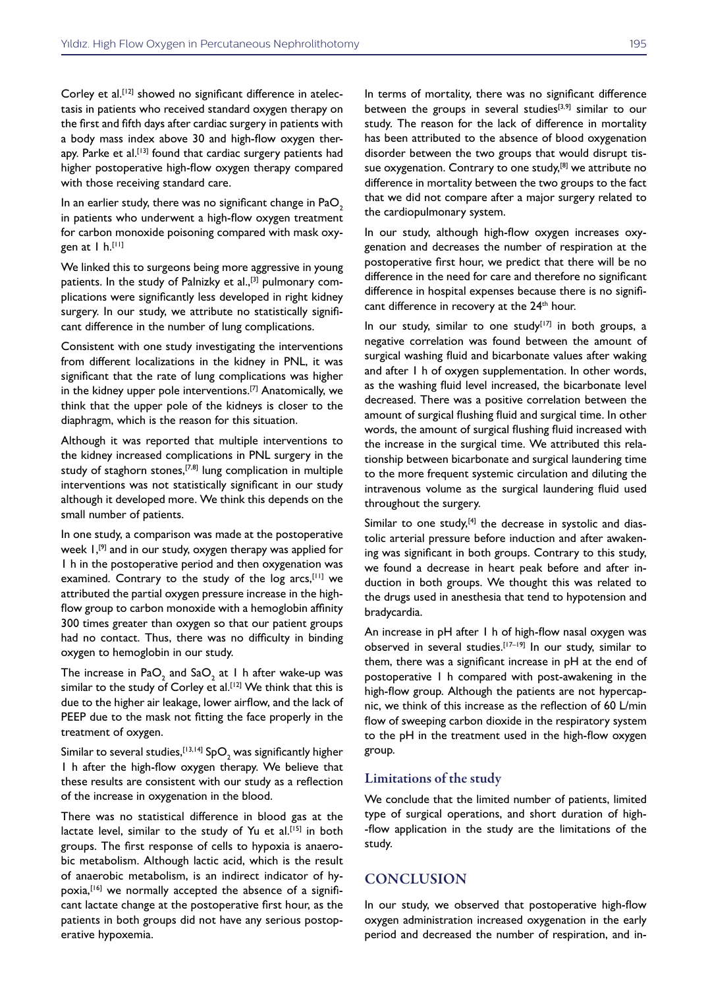Corley et al.<sup>[12]</sup> showed no significant difference in atelectasis in patients who received standard oxygen therapy on the first and fifth days after cardiac surgery in patients with a body mass index above 30 and high-flow oxygen therapy. Parke et al.<sup>[13]</sup> found that cardiac surgery patients had higher postoperative high-flow oxygen therapy compared with those receiving standard care.

In an earlier study, there was no significant change in  $PaO<sub>2</sub>$ in patients who underwent a high-flow oxygen treatment for carbon monoxide poisoning compared with mask oxygen at 1 h.[11]

We linked this to surgeons being more aggressive in young patients. In the study of Palnizky et al.,<sup>[3]</sup> pulmonary complications were significantly less developed in right kidney surgery. In our study, we attribute no statistically significant difference in the number of lung complications.

Consistent with one study investigating the interventions from different localizations in the kidney in PNL, it was significant that the rate of lung complications was higher in the kidney upper pole interventions.<sup>[7]</sup> Anatomically, we think that the upper pole of the kidneys is closer to the diaphragm, which is the reason for this situation.

Although it was reported that multiple interventions to the kidney increased complications in PNL surgery in the study of staghorn stones,<sup>[7,8]</sup> lung complication in multiple interventions was not statistically significant in our study although it developed more. We think this depends on the small number of patients.

In one study, a comparison was made at the postoperative week  $I,$ <sup>[9]</sup> and in our study, oxygen therapy was applied for 1 h in the postoperative period and then oxygenation was examined. Contrary to the study of the log arcs,  $[11]$  we attributed the partial oxygen pressure increase in the highflow group to carbon monoxide with a hemoglobin affinity 300 times greater than oxygen so that our patient groups had no contact. Thus, there was no difficulty in binding oxygen to hemoglobin in our study.

The increase in Pa $\overline{\mathrm{O}}_{2}$  and Sa $\overline{\mathrm{O}}_{2}$  at 1 h after wake-up was similar to the study of Corley et al.<sup>[12]</sup> We think that this is due to the higher air leakage, lower airflow, and the lack of PEEP due to the mask not fitting the face properly in the treatment of oxygen.

Similar to several studies, $^{\text{\tiny{[13,14]}}}$  Sp $\textsf{O}_{\text{\tiny{2}}}$  was significantly higher 1 h after the high-flow oxygen therapy. We believe that these results are consistent with our study as a reflection of the increase in oxygenation in the blood.

There was no statistical difference in blood gas at the lactate level, similar to the study of Yu et al.<sup>[15]</sup> in both groups. The first response of cells to hypoxia is anaerobic metabolism. Although lactic acid, which is the result of anaerobic metabolism, is an indirect indicator of hypoxia,<sup>[16]</sup> we normally accepted the absence of a significant lactate change at the postoperative first hour, as the patients in both groups did not have any serious postoperative hypoxemia.

In terms of mortality, there was no significant difference between the groups in several studies $[3,9]$  similar to our study. The reason for the lack of difference in mortality has been attributed to the absence of blood oxygenation disorder between the two groups that would disrupt tissue oxygenation. Contrary to one study, $[8]$  we attribute no difference in mortality between the two groups to the fact that we did not compare after a major surgery related to the cardiopulmonary system.

In our study, although high-flow oxygen increases oxygenation and decreases the number of respiration at the postoperative first hour, we predict that there will be no difference in the need for care and therefore no significant difference in hospital expenses because there is no significant difference in recovery at the 24<sup>th</sup> hour.

In our study, similar to one study $[17]$  in both groups, a negative correlation was found between the amount of surgical washing fluid and bicarbonate values after waking and after 1 h of oxygen supplementation. In other words, as the washing fluid level increased, the bicarbonate level decreased. There was a positive correlation between the amount of surgical flushing fluid and surgical time. In other words, the amount of surgical flushing fluid increased with the increase in the surgical time. We attributed this relationship between bicarbonate and surgical laundering time to the more frequent systemic circulation and diluting the intravenous volume as the surgical laundering fluid used throughout the surgery.

Similar to one study, $[4]$  the decrease in systolic and diastolic arterial pressure before induction and after awakening was significant in both groups. Contrary to this study, we found a decrease in heart peak before and after induction in both groups. We thought this was related to the drugs used in anesthesia that tend to hypotension and bradycardia.

An increase in pH after 1 h of high-flow nasal oxygen was observed in several studies.[17-19] In our study, similar to them, there was a significant increase in pH at the end of postoperative 1 h compared with post-awakening in the high-flow group. Although the patients are not hypercapnic, we think of this increase as the reflection of 60 L/min flow of sweeping carbon dioxide in the respiratory system to the pH in the treatment used in the high-flow oxygen group.

#### Limitations of the study

We conclude that the limited number of patients, limited type of surgical operations, and short duration of high- -flow application in the study are the limitations of the study.

# **CONCLUSION**

In our study, we observed that postoperative high-flow oxygen administration increased oxygenation in the early period and decreased the number of respiration, and in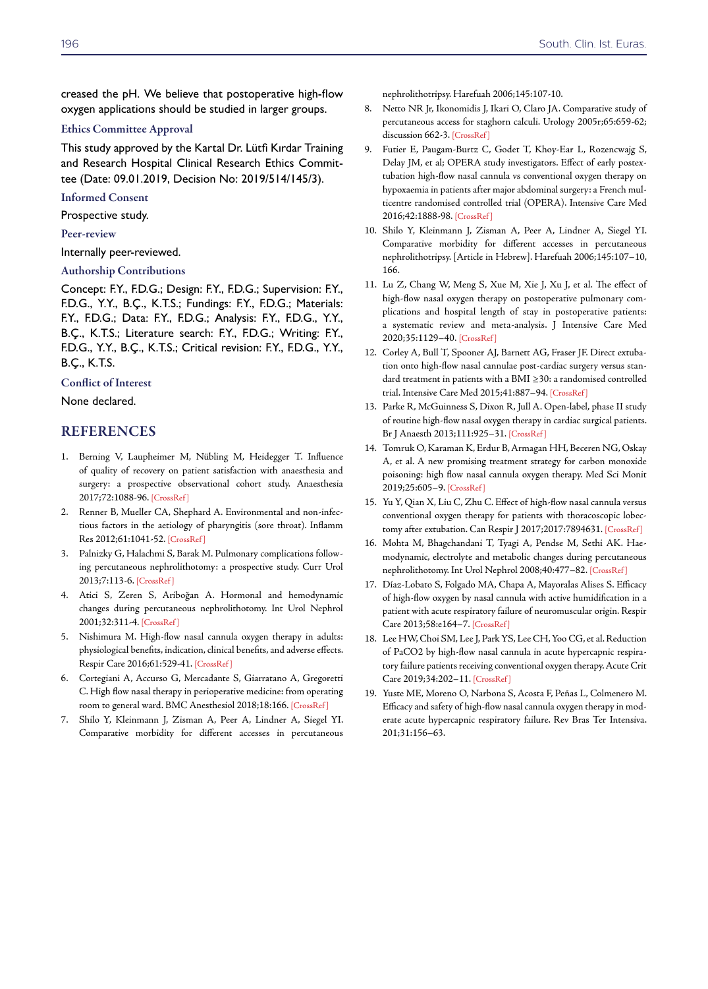creased the pH. We believe that postoperative high-flow oxygen applications should be studied in larger groups.

#### Ethics Committee Approval

This study approved by the Kartal Dr. Lütfi Kırdar Training and Research Hospital Clinical Research Ethics Committee (Date: 09.01.2019, Decision No: 2019/514/145/3).

#### Informed Consent

Prospective study.

#### Peer-review

Internally peer-reviewed.

#### Authorship Contributions

Concept: F.Y., F.D.G.; Design: F.Y., F.D.G.; Supervision: F.Y., F.D.G., Y.Y., B.Ç., K.T.S.; Fundings: F.Y., F.D.G.; Materials: F.Y., F.D.G.; Data: F.Y., F.D.G.; Analysis: F.Y., F.D.G., Y.Y., B.Ç., K.T.S.; Literature search: F.Y., F.D.G.; Writing: F.Y., F.D.G., Y.Y., B.Ç., K.T.S.; Critical revision: F.Y., F.D.G., Y.Y., B.Ç., K.T.S.

#### Conflict of Interest

None declared.

# **REFERENCES**

- 1. Berning V, Laupheimer M, Nübling M, Heidegger T. Influence of quality of recovery on patient satisfaction with anaesthesia and surgery: a prospective observational cohort study. Anaesthesia 2017;72:1088-96. [\[CrossRef \]](https://doi.org/10.1111/anae.13906)
- 2. Renner B, Mueller CA, Shephard A. Environmental and non-infectious factors in the aetiology of pharyngitis (sore throat). Inflamm Res 2012;61:1041-52[. \[CrossRef \]](https://doi.org/10.1007/s00011-012-0540-9)
- 3. Palnizky G, Halachmi S, Barak M. Pulmonary complications following percutaneous nephrolithotomy: a prospective study. Curr Urol 2013;7:113-6[. \[CrossRef \]](https://doi.org/10.1159/000356260)
- 4. Atici S, Zeren S, Ariboğan A. Hormonal and hemodynamic changes during percutaneous nephrolithotomy. Int Urol Nephrol 2001;32:311-4. [\[CrossRef \]](https://doi.org/10.1023/A:1017527126481)
- 5. Nishimura M. High-flow nasal cannula oxygen therapy in adults: physiological benefits, indication, clinical benefits, and adverse effects. Respir Care 2016;61:529-4[1. \[CrossRef \]](https://doi.org/10.4187/respcare.04577)
- 6. Cortegiani A, Accurso G, Mercadante S, Giarratano A, Gregoretti C. High flow nasal therapy in perioperative medicine: from operating room to general ward. BMC Anesthesiol 2018;18:16[6. \[CrossRef \]](https://doi.org/10.1186/s12871-018-0623-4)
- 7. Shilo Y, Kleinmann J, Zisman A, Peer A, Lindner A, Siegel YI. Comparative morbidity for different accesses in percutaneous

nephrolithotripsy. Harefuah 2006;145:107-10.

- 8. Netto NR Jr, Ikonomidis J, Ikari O, Claro JA. Comparative study of percutaneous access for staghorn calculi. Urology 2005r;65:659-62; discussion 662-3. [CrossRef]
- 9. Futier E, Paugam-Burtz C, Godet T, Khoy-Ear L, Rozencwajg S, Delay JM, et al; OPERA study investigators. Effect of early postextubation high-flow nasal cannula vs conventional oxygen therapy on hypoxaemia in patients after major abdominal surgery: a French multicentre randomised controlled trial (OPERA). Intensive Care Med 2016;42:1888-9[8. \[CrossRef \]](https://doi.org/10.1007/s00134-016-4594-y)
- 10. Shilo Y, Kleinmann J, Zisman A, Peer A, Lindner A, Siegel YI. Comparative morbidity for different accesses in percutaneous nephrolithotripsy. [Article in Hebrew]. Harefuah 2006;145:107–10, 166.
- 11. Lu Z, Chang W, Meng S, Xue M, Xie J, Xu J, et al. The effect of high-flow nasal oxygen therapy on postoperative pulmonary complications and hospital length of stay in postoperative patients: a systematic review and meta-analysis. J Intensive Care Med 2020;35:1129–4[0. \[CrossRef \]](https://doi.org/10.1177/0885066618817718)
- 12. Corley A, Bull T, Spooner AJ, Barnett AG, Fraser JF. Direct extubation onto high-flow nasal cannulae post-cardiac surgery versus standard treatment in patients with a BMI ≥30: a randomised controlled trial. Intensive Care Med 2015;41:887–94. [\[CrossRef \]](https://doi.org/10.1007/s00134-015-3765-6)
- 13. Parke R, McGuinness S, Dixon R, Jull A. Open-label, phase II study of routine high-flow nasal oxygen therapy in cardiac surgical patients. Br J Anaesth 2013;111:925–3[1. \[CrossRef \]](https://doi.org/10.1093/bja/aet262)
- 14. Tomruk O, Karaman K, Erdur B, Armagan HH, Beceren NG, Oskay A, et al. A new promising treatment strategy for carbon monoxide poisoning: high flow nasal cannula oxygen therapy. Med Sci Monit 2019;25:605–9[. \[CrossRef \]](https://doi.org/10.12659/MSM.914800)
- 15. Yu Y, Qian X, Liu C, Zhu C. Effect of high-flow nasal cannula versus conventional oxygen therapy for patients with thoracoscopic lobectomy after extubation. Can Respir J 2017;2017:7894631. [CrossRef]
- 16. Mohta M, Bhagchandani T, Tyagi A, Pendse M, Sethi AK. Haemodynamic, electrolyte and metabolic changes during percutaneous nephrolithotomy. Int Urol Nephrol 2008;40:477–8[2. \[CrossRef \]](https://doi.org/10.1007/s11255-006-9093-6)
- 17. Díaz-Lobato S, Folgado MA, Chapa A, Mayoralas Alises S. Efficacy of high-flow oxygen by nasal cannula with active humidification in a patient with acute respiratory failure of neuromuscular origin. Respir Care 2013;58:e164–[7. \[CrossRef \]](https://doi.org/10.4187/respcare.02115)
- 18. Lee HW, Choi SM, Lee J, Park YS, Lee CH, Yoo CG, et al. Reduction of PaCO2 by high-flow nasal cannula in acute hypercapnic respiratory failure patients receiving conventional oxygen therapy. Acute Crit Care 2019;34:202[–11. \[CrossRef \]](https://doi.org/10.4266/acc.2019.00563)
- 19. Yuste ME, Moreno O, Narbona S, Acosta F, Peñas L, Colmenero M. Efficacy and safety of high-flow nasal cannula oxygen therapy in moderate acute hypercapnic respiratory failure. Rev Bras Ter Intensiva. 201;31:156–63.